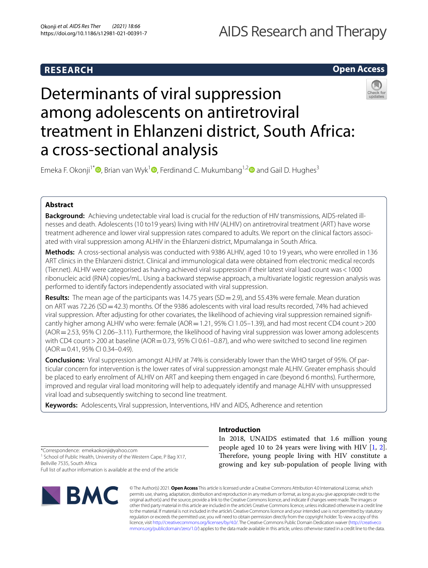# **Open Access**

# Determinants of viral suppression among adolescents on antiretroviral treatment in Ehlanzeni district, South Africa: a cross-sectional analysis

Emeka F. Okonji<sup>1\*</sup>  $\bullet$ [,](http://orcid.org/0000-0003-1032-1847) Brian van Wyk<sup>1</sup>  $\bullet$ , Ferdinand C. Mukumbang<sup>1,[2](http://orcid.org/0000-0003-1441-2172)</sup> and Gail D. Hughes<sup>3</sup>

# **Abstract**

**Background:** Achieving undetectable viral load is crucial for the reduction of HIV transmissions, AIDS-related illnesses and death. Adolescents (10 to19 years) living with HIV (ALHIV) on antiretroviral treatment (ART) have worse treatment adherence and lower viral suppression rates compared to adults. We report on the clinical factors associated with viral suppression among ALHIV in the Ehlanzeni district, Mpumalanga in South Africa.

**Methods:** A cross-sectional analysis was conducted with 9386 ALHIV, aged 10 to 19 years, who were enrolled in 136 ART clinics in the Ehlanzeni district. Clinical and immunological data were obtained from electronic medical records (Tier.net). ALHIV were categorised as having achieved viral suppression if their latest viral load count was<1000 ribonucleic acid (RNA) copies/mL. Using a backward stepwise approach, a multivariate logistic regression analysis was performed to identify factors independently associated with viral suppression.

**Results:** The mean age of the participants was 14.75 years (SD = 2.9), and 55.43% were female. Mean duration on ART was 72.26 (SD = 42.3) months. Of the 9386 adolescents with viral load results recorded, 74% had achieved viral suppression. After adjusting for other covariates, the likelihood of achieving viral suppression remained signifcantly higher among ALHIV who were: female (AOR=1.21, 95% CI 1.05–1.39), and had most recent CD4 count>200 (AOR=2.53, 95% CI 2.06–3.11). Furthermore, the likelihood of having viral suppression was lower among adolescents with CD4 count > 200 at baseline (AOR = 0.73, 95% CI 0.61–0.87), and who were switched to second line regimen (AOR=0.41, 95% CI 0.34–0.49).

**Conclusions:** Viral suppression amongst ALHIV at 74% is considerably lower than the WHO target of 95%. Of particular concern for intervention is the lower rates of viral suppression amongst male ALHIV. Greater emphasis should be placed to early enrolment of ALHIV on ART and keeping them engaged in care (beyond 6 months). Furthermore, improved and regular viral load monitoring will help to adequately identify and manage ALHIV with unsuppressed viral load and subsequently switching to second line treatment.

**Keywords:** Adolescents, Viral suppression, Interventions, HIV and AIDS, Adherence and retention

\*Correspondence: emekaokonji@yahoo.com <sup>1</sup> School of Public Health, University of the Western Cape, P Bag X17, Bellville 7535, South Africa

Full list of author information is available at the end of the article



# **Introduction**

In 2018, UNAIDS estimated that 1.6 million young people aged 10 to 24 years were living with HIV [\[1](#page-7-0), [2](#page-7-1)]. Therefore, young people living with HIV constitute a growing and key sub-population of people living with

© The Author(s) 2021. **Open Access** This article is licensed under a Creative Commons Attribution 4.0 International License, which permits use, sharing, adaptation, distribution and reproduction in any medium or format, as long as you give appropriate credit to the original author(s) and the source, provide a link to the Creative Commons licence, and indicate if changes were made. The images or other third party material in this article are included in the article's Creative Commons licence, unless indicated otherwise in a credit line to the material. If material is not included in the article's Creative Commons licence and your intended use is not permitted by statutory regulation or exceeds the permitted use, you will need to obtain permission directly from the copyright holder. To view a copy of this licence, visit [http://creativecommons.org/licenses/by/4.0/.](http://creativecommons.org/licenses/by/4.0/) The Creative Commons Public Domain Dedication waiver ([http://creativeco](http://creativecommons.org/publicdomain/zero/1.0/) [mmons.org/publicdomain/zero/1.0/](http://creativecommons.org/publicdomain/zero/1.0/)) applies to the data made available in this article, unless otherwise stated in a credit line to the data.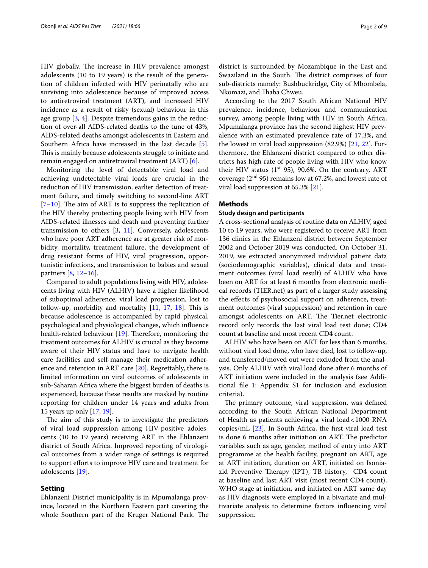HIV globally. The increase in HIV prevalence amongst adolescents (10 to 19 years) is the result of the generation of children infected with HIV perinatally who are surviving into adolescence because of improved access to antiretroviral treatment (ART), and increased HIV incidence as a result of risky (sexual) behaviour in this age group [[3](#page-7-2), [4](#page-7-3)]. Despite tremendous gains in the reduction of over-all AIDS-related deaths to the tune of 43%, AIDS-related deaths amongst adolescents in Eastern and Southern Africa have increased in the last decade [\[5](#page-7-4)]. This is mainly because adolescents struggle to initiate and remain engaged on antiretroviral treatment (ART) [\[6](#page-7-5)].

Monitoring the level of detectable viral load and achieving undetectable viral loads are crucial in the reduction of HIV transmission, earlier detection of treatment failure, and timely switching to second-line ART  $[7–10]$  $[7–10]$  $[7–10]$ . The aim of ART is to suppress the replication of the HIV thereby protecting people living with HIV from AIDS-related illnesses and death and preventing further transmission to others  $[3, 11]$  $[3, 11]$  $[3, 11]$ . Conversely, adolescents who have poor ART adherence are at greater risk of morbidity, mortality, treatment failure, the development of drug resistant forms of HIV, viral progression, opportunistic infections, and transmission to babies and sexual partners [[8](#page-7-9), [12–](#page-7-10)[16\]](#page-7-11).

Compared to adult populations living with HIV, adolescents living with HIV (ALHIV) have a higher likelihood of suboptimal adherence, viral load progression, lost to follow-up, morbidity and mortality  $[11, 17, 18]$  $[11, 17, 18]$  $[11, 17, 18]$  $[11, 17, 18]$  $[11, 17, 18]$  $[11, 17, 18]$ . This is because adolescence is accompanied by rapid physical, psychological and physiological changes, which infuence health-related behaviour  $[19]$  $[19]$ . Therefore, monitoring the treatment outcomes for ALHIV is crucial as they become aware of their HIV status and have to navigate health care facilities and self-manage their medication adherence and retention in ART care [\[20](#page-7-15)]. Regrettably, there is limited information on viral outcomes of adolescents in sub-Saharan Africa where the biggest burden of deaths is experienced, because these results are masked by routine reporting for children under 14 years and adults from 15 years up only [\[17](#page-7-12), [19](#page-7-14)].

The aim of this study is to investigate the predictors of viral load suppression among HIV-positive adolescents (10 to 19 years) receiving ART in the Ehlanzeni district of South Africa. Improved reporting of virological outcomes from a wider range of settings is required to support eforts to improve HIV care and treatment for adolescents [\[19](#page-7-14)].

# **Setting**

Ehlanzeni District municipality is in Mpumalanga province, located in the Northern Eastern part covering the whole Southern part of the Kruger National Park. The district is surrounded by Mozambique in the East and Swaziland in the South. The district comprises of four sub-districts namely: Bushbuckridge, City of Mbombela, Nkomazi, and Thaba Chweu.

According to the 2017 South African National HIV prevalence, incidence, behaviour and communication survey, among people living with HIV in South Africa, Mpumalanga province has the second highest HIV prevalence with an estimated prevalence rate of 17.3%, and the lowest in viral load suppression (82.9%) [[21](#page-7-16), [22](#page-7-17)]. Furthermore, the Ehlanzeni district compared to other districts has high rate of people living with HIV who know their HIV status  $(1^{st} 95)$ , 90.6%. On the contrary, ART coverage  $(2<sup>nd</sup> 95)$  remains low at 67.2%, and lowest rate of viral load suppression at 65.3% [\[21\]](#page-7-16).

# **Methods**

## **Study design and participants**

A cross-sectional analysis of routine data on ALHIV, aged 10 to 19 years, who were registered to receive ART from 136 clinics in the Ehlanzeni district between September 2002 and October 2019 was conducted. On October 31, 2019, we extracted anonymized individual patient data (sociodemographic variables), clinical data and treatment outcomes (viral load result) of ALHIV who have been on ART for at least 6 months from electronic medical records (TIER.net) as part of a larger study assessing the efects of psychosocial support on adherence, treatment outcomes (viral suppression) and retention in care amongst adolescents on ART. The Tier.net electronic record only records the last viral load test done; CD4 count at baseline and most recent CD4 count.

ALHIV who have been on ART for less than 6 months, without viral load done, who have died, lost to follow-up, and transferred/moved out were excluded from the analysis. Only ALHIV with viral load done after 6 months of ART initiation were included in the analysis (see Additional fle [1](#page-6-0): Appendix S1 for inclusion and exclusion criteria).

The primary outcome, viral suppression, was defined according to the South African National Department of Health as patients achieving a viral load<1000 RNA copies/mL  $[23]$  $[23]$  $[23]$ . In South Africa, the first viral load test is done 6 months after initiation on ART. The predictor variables such as age, gender, method of entry into ART programme at the health facility, pregnant on ART, age at ART initiation, duration on ART, initiated on Isoniazid Preventive Therapy (IPT), TB history, CD4 count at baseline and last ART visit (most recent CD4 count), WHO stage at initiation, and initiated on ART same day as HIV diagnosis were employed in a bivariate and multivariate analysis to determine factors infuencing viral suppression.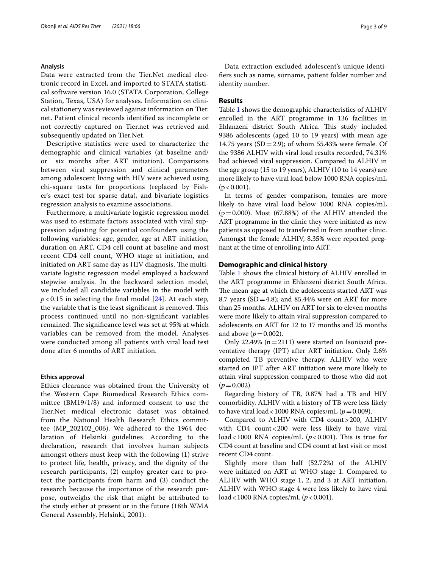## **Analysis**

Data were extracted from the Tier.Net medical electronic record in Excel, and imported to STATA statistical software version 16.0 (STATA Corporation, College Station, Texas, USA) for analyses. Information on clinical stationery was reviewed against information on Tier. net. Patient clinical records identifed as incomplete or not correctly captured on Tier.net was retrieved and subsequently updated on Tier.Net.

Descriptive statistics were used to characterize the demographic and clinical variables (at baseline and/ or six months after ART initiation). Comparisons between viral suppression and clinical parameters among adolescent living with HIV were achieved using chi-square tests for proportions (replaced by Fisher's exact test for sparse data), and bivariate logistics regression analysis to examine associations.

Furthermore, a multivariate logistic regression model was used to estimate factors associated with viral suppression adjusting for potential confounders using the following variables: age, gender, age at ART initiation, duration on ART, CD4 cell count at baseline and most recent CD4 cell count, WHO stage at initiation, and initiated on ART same day as HIV diagnosis. The multivariate logistic regression model employed a backward stepwise analysis. In the backward selection model, we included all candidate variables in the model with  $p < 0.15$  in selecting the final model  $[24]$  $[24]$ . At each step, the variable that is the least significant is removed. This process continued until no non-signifcant variables remained. The significance level was set at 95% at which variables can be removed from the model. Analyses were conducted among all patients with viral load test done after 6 months of ART initiation.

## **Ethics approval**

Ethics clearance was obtained from the University of the Western Cape Biomedical Research Ethics committee (BM19/1/8) and informed consent to use the Tier.Net medical electronic dataset was obtained from the National Health Research Ethics committee (MP\_202102\_006). We adhered to the 1964 declaration of Helsinki guidelines. According to the declaration, research that involves human subjects amongst others must keep with the following (1) strive to protect life, health, privacy, and the dignity of the research participants, (2) employ greater care to protect the participants from harm and (3) conduct the research because the importance of the research purpose, outweighs the risk that might be attributed to the study either at present or in the future (18th WMA General Assembly, Helsinki, 2001).

Data extraction excluded adolescent's unique identifers such as name, surname, patient folder number and identity number.

# **Results**

Table [1](#page-3-0) shows the demographic characteristics of ALHIV enrolled in the ART programme in 136 facilities in Ehlanzeni district South Africa. This study included 9386 adolescents (aged 10 to 19 years) with mean age 14.75 years (SD = 2.9); of whom 55.43% were female. Of the 9386 ALHIV with viral load results recorded, 74.31% had achieved viral suppression. Compared to ALHIV in the age group (15 to 19 years), ALHIV (10 to 14 years) are more likely to have viral load below 1000 RNA copies/mL  $(p < 0.001)$ .

In terms of gender comparison, females are more likely to have viral load below 1000 RNA copies/mL  $(p=0.000)$ . Most  $(67.88%)$  of the ALHIV attended the ART programme in the clinic they were initiated as new patients as opposed to transferred in from another clinic. Amongst the female ALHIV, 8.35% were reported pregnant at the time of enrolling into ART.

# **Demographic and clinical history**

Table [1](#page-3-0) shows the clinical history of ALHIV enrolled in the ART programme in Ehlanzeni district South Africa. The mean age at which the adolescents started ART was 8.7 years ( $SD = 4.8$ ); and 85.44% were on ART for more than 25 months. ALHIV on ART for six to eleven months were more likely to attain viral suppression compared to adolescents on ART for 12 to 17 months and 25 months and above  $(p = 0.002)$ .

Only 22.49%  $(n=2111)$  were started on Isoniazid preventative therapy (IPT) after ART initiation. Only 2.6% completed TB preventive therapy*.* ALHIV who were started on IPT after ART initiation were more likely to attain viral suppression compared to those who did not  $(p=0.002)$ .

Regarding history of TB, 0.87% had a TB and HIV comorbidity. ALHIV with a history of TB were less likely to have viral load <1000 RNA copies/mL  $(p=0.009)$ .

Compared to ALHIV with CD4 count>200, ALHIV with CD4 count<200 were less likely to have viral load <1000 RNA copies/mL  $(p<0.001)$ . This is true for CD4 count at baseline and CD4 count at last visit or most recent CD4 count.

Slightly more than half (52.72%) of the ALHIV were initiated on ART at WHO stage 1. Compared to ALHIV with WHO stage 1, 2, and 3 at ART initiation, ALHIV with WHO stage 4 were less likely to have viral load < 1000 RNA copies/mL ( $p$  < 0.001).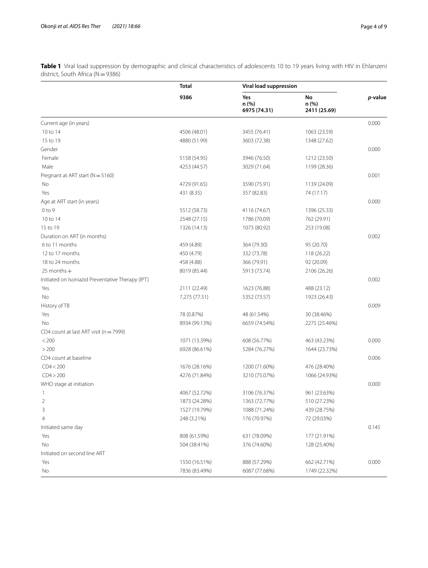<span id="page-3-0"></span>**Table 1** Viral load suppression by demographic and clinical characteristics of adolescents 10 to 19 years living with HIV in Ehlanzeni district, South Africa (N=9386)

|                                                   | Total<br>9386 | Viral load suppression       |                             |         |
|---------------------------------------------------|---------------|------------------------------|-----------------------------|---------|
|                                                   |               | Yes<br>n (%)<br>6975 (74.31) | No<br>n (%)<br>2411 (25.69) | p-value |
| Current age (in years)                            |               |                              |                             | 0.000   |
| 10 to 14                                          | 4506 (48.01)  | 3455 (76.41)                 | 1063 (23.59)                |         |
| 15 to 19                                          | 4880 (51.99)  | 3603 (72.38)                 | 1348 (27.62)                |         |
| Gender                                            |               |                              |                             | 0.000   |
| Female                                            | 5158 (54.95)  | 3946 (76.50)                 | 1212 (23.50)                |         |
| Male                                              | 4253 (44.57)  | 3029 (71.64)                 | 1199 (28.36)                |         |
| Pregnant at ART start (N = 5160)                  |               |                              |                             | 0.001   |
| No                                                | 4729 (91.65)  | 3590 (75.91)                 | 1139 (24.09)                |         |
| Yes                                               | 431 (8.35)    | 357 (82.83)                  | 74 (17.17)                  |         |
| Age at ART start (in years)                       |               |                              |                             | 0.000   |
| $0$ to $9$                                        | 5512 (58.73)  | 4116 (74.67)                 | 1396 (25.33)                |         |
| 10 to 14                                          | 2548 (27.15)  | 1786 (70.09)                 | 762 (29.91)                 |         |
| 15 to 19                                          | 1326 (14.13)  | 1073 (80.92)                 | 253 (19.08)                 |         |
| Duration on ART (in months)                       |               |                              |                             | 0.002   |
| 6 to 11 months                                    | 459 (4.89)    | 364 (79.30)                  | 95 (20.70)                  |         |
| 12 to 17 months                                   | 450 (4.79)    | 332 (73.78)                  | 118 (26.22)                 |         |
| 18 to 24 months                                   | 458 (4.88)    | 366 (79.91)                  | 92 (20.09)                  |         |
| $25$ months $+$                                   | 8019 (85.44)  | 5913 (73.74)                 | 2106 (26.26)                |         |
| Initiated on Isoniazid Preventative Therapy (IPT) |               |                              |                             | 0.002   |
| Yes                                               | 2111 (22.49)  | 1623 (76.88)                 | 488 (23.12)                 |         |
| No                                                | 7,275 (77.51) | 5352 (73.57)                 | 1923 (26.43)                |         |
| History of TB                                     |               |                              |                             | 0.009   |
| Yes                                               | 78 (0.87%)    | 48 (61.54%)                  | 30 (38.46%)                 |         |
| No                                                | 8934 (99.13%) | 6659 (74.54%)                | 2275 (25.46%)               |         |
| CD4 count at last ART visit ( $n = 7999$ )        |               |                              |                             |         |
| < 200                                             | 1071 (13.39%) | 608 (56.77%)                 | 463 (43.23%)                | 0.000   |
| >200                                              | 6928 (86.61%) | 5284 (76.27%)                | 1644 (23.73%)               |         |
| CD4 count at baseline                             |               |                              |                             | 0.006   |
| CD4 < 200                                         | 1676 (28.16%) | 1200 (71.60%)                | 476 (28.40%)                |         |
| CD4 > 200                                         | 4276 (71.84%) | 3210 (75.07%)                | 1066 (24.93%)               |         |
| WHO stage at initiation                           |               |                              |                             | 0.000   |
| 1                                                 | 4067 (52.72%) | 3106 (76.37%)                | 961 (23.63%)                |         |
| 2                                                 | 1873 (24.28%) | 1363 (72.77%)                | 510 (27.23%)                |         |
| 3                                                 | 1527 (19.79%) | 1088 (71.24%)                | 439 (28.75%)                |         |
| 4                                                 | 248 (3.21%)   | 176 (70.97%)                 | 72 (29.03%)                 |         |
| Initiated same day                                |               |                              |                             | 0.145   |
| Yes                                               | 808 (61.59%)  | 631 (78.09%)                 | 177 (21.91%)                |         |
| No                                                | 504 (38.41%)  | 376 (74.60%)                 | 128 (25.40%)                |         |
| Initiated on second line ART                      |               |                              |                             |         |
| Yes                                               | 1550 (16.51%) | 888 (57.29%)                 | 662 (42.71%)                | 0.000   |
| No                                                | 7836 (83.49%) | 6087 (77.68%)                | 1749 (22.32%)               |         |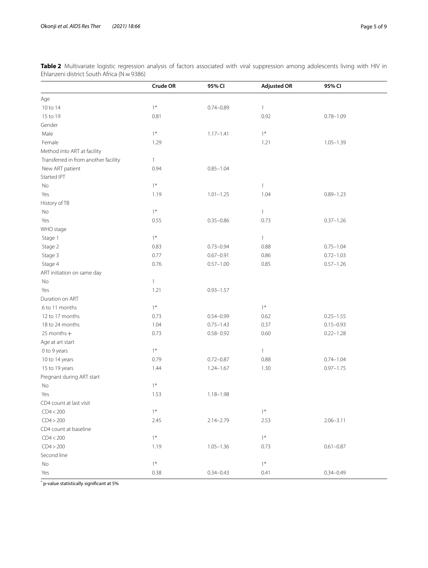<span id="page-4-0"></span>**Table 2** Multivariate logistic regression analysis of factors associated with viral suppression among adolescents living with HIV in Ehlanzeni district South Africa (N=9386)

|                                      | Crude OR     | 95% CI        | <b>Adjusted OR</b> | 95% CI        |
|--------------------------------------|--------------|---------------|--------------------|---------------|
| Age                                  |              |               |                    |               |
| 10 to 14                             | $1*$         | $0.74 - 0.89$ | $\mathbf{1}$       |               |
| 15 to 19                             | 0.81         |               | 0.92               | $0.78 - 1.09$ |
| Gender                               |              |               |                    |               |
| Male                                 | $1*$         | $1.17 - 1.41$ | $1*$               |               |
| Female                               | 1.29         |               | 1.21               | $1.05 - 1.39$ |
| Method into ART at facility          |              |               |                    |               |
| Transferred in from another facility | $\mathbf{1}$ |               |                    |               |
| New ART patient                      | 0.94         | $0.85 - 1.04$ |                    |               |
| Started IPT                          |              |               |                    |               |
| No                                   | $1*$         |               | $\mathbf{1}$       |               |
| Yes                                  | 1.19         | $1.01 - 1.25$ | 1.04               | $0.89 - 1.23$ |
| History of TB                        |              |               |                    |               |
| $\rm No$                             | $1*$         |               | 1                  |               |
| Yes                                  | 0.55         | $0.35 - 0.86$ | 0.73               | $0.37 - 1.26$ |
| WHO stage                            |              |               |                    |               |
| Stage 1                              | $1*$         |               | $\mathbf{1}$       |               |
| Stage 2                              | 0.83         | $0.73 - 0.94$ | 0.88               | $0.75 - 1.04$ |
| Stage 3                              | 0.77         | $0.67 - 0.91$ | 0.86               | $0.72 - 1.03$ |
| Stage 4                              | 0.76         | $0.57 - 1.00$ | 0.85               | $0.57 - 1.26$ |
| ART initiation on same day           |              |               |                    |               |
| No                                   | $\mathbf{1}$ |               |                    |               |
| Yes                                  | 1.21         | $0.93 - 1.57$ |                    |               |
| Duration on ART                      |              |               |                    |               |
| 6 to 11 months                       | $1*$         |               | $1*$               |               |
| 12 to 17 months                      | 0.73         | $0.54 - 0.99$ | 0.62               | $0.25 - 1.55$ |
| 18 to 24 months                      | 1.04         | $0.75 - 1.43$ | 0.37               | $0.15 - 0.93$ |
| 25 months +                          | 0.73         | $0.58 - 0.92$ | 0.60               | $0.22 - 1.28$ |
| Age at art start                     |              |               |                    |               |
| 0 to 9 years                         | $1*$         |               | $\mathbf{1}$       |               |
| 10 to 14 years                       | 0.79         | $0.72 - 0.87$ | 0.88               | $0.74 - 1.04$ |
| 15 to 19 years                       | 1.44         | $1.24 - 1.67$ | 1.30               | $0.97 - 1.75$ |
| Pregnant during ART start            |              |               |                    |               |
| No                                   | $1*$         |               |                    |               |
| Yes                                  | 1.53         | $1.18 - 1.98$ |                    |               |
| CD4 count at last visit              |              |               |                    |               |
| CD4 < 200                            | $1*$         |               | $1*$               |               |
| CD4 > 200                            | 2.45         | $2.14 - 2.79$ | 2.53               | $2.06 - 3.11$ |
| CD4 count at baseline                |              |               |                    |               |
| CD4 < 200                            | $1*$         |               | $1*$               |               |
| CD4 > 200                            | 1.19         | $1.05 - 1.36$ | 0.73               | $0.61 - 0.87$ |
| Second line                          |              |               |                    |               |
| No                                   | $1*$         |               | $1*$               |               |
|                                      |              | $0.34 - 0.43$ |                    |               |
| Yes                                  | 0.38         |               | 0.41               | $0.34 - 0.49$ |

\* p-value statistically signifcant at 5%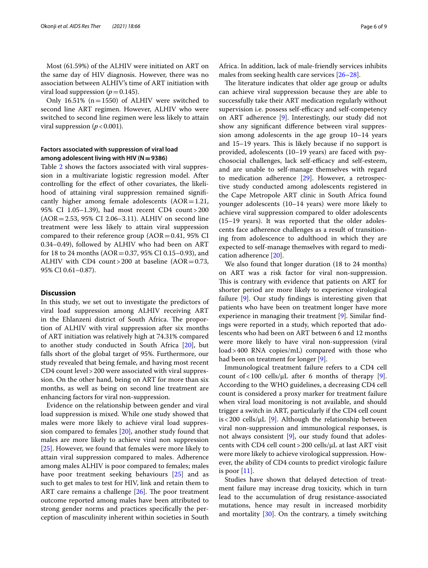Most (61.59%) of the ALHIV were initiated on ART on the same day of HIV diagnosis. However, there was no association between ALHIV's time of ART initiation with viral load suppression  $(p=0.145)$ .

Only 16.51% (n=1550) of ALHIV were switched to second line ART regimen. However, ALHIV who were switched to second line regimen were less likely to attain viral suppression  $(p < 0.001)$ .

# **Factors associated with suppression of viral load among adolescent living with HIV (N=9386)**

Table [2](#page-4-0) shows the factors associated with viral suppression in a multivariate logistic regression model. After controlling for the efect of other covariates, the likelihood of attaining viral suppression remained signifcantly higher among female adolescents  $(AOR=1.21,$ 95% CI 1.05–1.39), had most recent CD4 count>200 (AOR=2.53, 95% CI 2.06–3.11). ALHIV on second line treatment were less likely to attain viral suppression compared to their reference group  $(AOR=0.41, 95\% \text{ CI})$ 0.34–0.49), followed by ALHIV who had been on ART for 18 to 24 months ( $AOR = 0.37$ , 95% CI 0.15–0.93), and ALHIV with CD4 count > 200 at baseline  $(AOR = 0.73,$ 95% CI 0.61–0.87).

# **Discussion**

In this study, we set out to investigate the predictors of viral load suppression among ALHIV receiving ART in the Ehlanzeni district of South Africa. The proportion of ALHIV with viral suppression after six months of ART initiation was relatively high at 74.31% compared to another study conducted in South Africa [[20\]](#page-7-15), but falls short of the global target of 95%. Furthermore, our study revealed that being female, and having most recent CD4 count level>200 were associated with viral suppression. On the other hand, being on ART for more than six months, as well as being on second line treatment are enhancing factors for viral non-suppression.

Evidence on the relationship between gender and viral load suppression is mixed. While one study showed that males were more likely to achieve viral load suppression compared to females [\[20\]](#page-7-15), another study found that males are more likely to achieve viral non suppression [[25\]](#page-8-0). However, we found that females were more likely to attain viral suppression compared to males. Adherence among males ALHIV is poor compared to females; males have poor treatment seeking behaviours [\[25](#page-8-0)] and as such to get males to test for HIV, link and retain them to ART care remains a challenge  $[26]$  $[26]$ . The poor treatment outcome reported among males have been attributed to strong gender norms and practices specifcally the perception of masculinity inherent within societies in South Africa. In addition, lack of male-friendly services inhibits males from seeking health care services [[26–](#page-8-1)[28\]](#page-8-2).

The literature indicates that older age group or adults can achieve viral suppression because they are able to successfully take their ART medication regularly without supervision i.e. possess self-efficacy and self-competency on ART adherence [[9\]](#page-7-20). Interestingly, our study did not show any signifcant diference between viral suppression among adolescents in the age group 10–14 years and 15–19 years. This is likely because if no support is provided, adolescents (10–19 years) are faced with psychosocial challenges, lack self-efficacy and self-esteem, and are unable to self-manage themselves with regard to medication adherence [\[29](#page-8-3)]. However, a retrospective study conducted among adolescents registered in the Cape Metropole ART clinic in South Africa found younger adolescents (10–14 years) were more likely to achieve viral suppression compared to older adolescents (15–19 years). It was reported that the older adolescents face adherence challenges as a result of transitioning from adolescence to adulthood in which they are expected to self-manage themselves with regard to medication adherence [[20\]](#page-7-15).

We also found that longer duration (18 to 24 months) on ART was a risk factor for viral non-suppression. This is contrary with evidence that patients on ART for shorter period are more likely to experience virological failure [\[9](#page-7-20)]. Our study fndings is interesting given that patients who have been on treatment longer have more experience in managing their treatment [[9\]](#page-7-20). Similar fndings were reported in a study, which reported that adolescents who had been on ART between 6 and 12 months were more likely to have viral non-suppression (viral load>400 RNA copies/mL) compared with those who had been on treatment for longer [[9](#page-7-20)].

Immunological treatment failure refers to a CD4 cell count of <100 cells/ $\mu$ L after 6 months of therapy [\[9](#page-7-20)]. According to the WHO guidelines, a decreasing CD4 cell count is considered a proxy marker for treatment failure when viral load monitoring is not available, and should trigger a switch in ART, particularly if the CD4 cell count is < 200 cells/ $\mu$ L [\[9](#page-7-20)]. Although the relationship between viral non-suppression and immunological responses, is not always consistent [\[9\]](#page-7-20), our study found that adolescents with CD4 cell count  $>$  200 cells/ $\mu$ L at last ART visit were more likely to achieve virological suppression. However, the ability of CD4 counts to predict virologic failure is poor  $[11]$  $[11]$  $[11]$ .

Studies have shown that delayed detection of treatment failure may increase drug toxicity, which in turn lead to the accumulation of drug resistance-associated mutations, hence may result in increased morbidity and mortality [[30](#page-8-4)]. On the contrary, a timely switching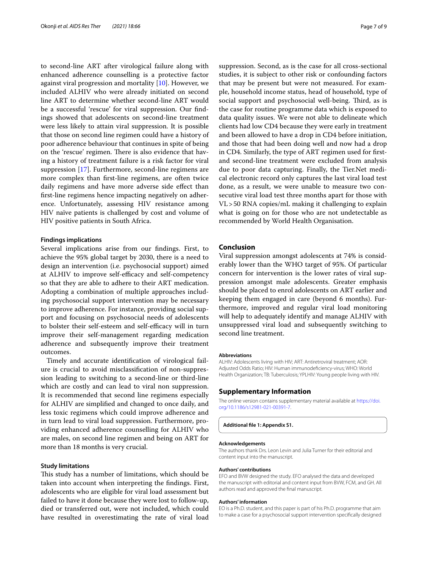to second-line ART after virological failure along with enhanced adherence counselling is a protective factor against viral progression and mortality [\[10](#page-7-7)]. However, we included ALHIV who were already initiated on second line ART to determine whether second-line ART would be a successful 'rescue' for viral suppression. Our fndings showed that adolescents on second-line treatment were less likely to attain viral suppression. It is possible that those on second line regimen could have a history of poor adherence behaviour that continues in spite of being on the 'rescue' regimen. There is also evidence that having a history of treatment failure is a risk factor for viral suppression [\[17](#page-7-12)]. Furthermore, second-line regimens are more complex than frst-line regimens, are often twice daily regimens and have more adverse side efect than frst-line regimens hence impacting negatively on adherence. Unfortunately, assessing HIV resistance among HIV naïve patients is challenged by cost and volume of HIV positive patients in South Africa.

## **Findings implications**

Several implications arise from our fndings. First, to achieve the 95% global target by 2030, there is a need to design an intervention (i.e. psychosocial support) aimed at ALHIV to improve self-efficacy and self-competency so that they are able to adhere to their ART medication. Adopting a combination of multiple approaches including psychosocial support intervention may be necessary to improve adherence. For instance, providing social support and focusing on psychosocial needs of adolescents to bolster their self-esteem and self-efficacy will in turn improve their self-management regarding medication adherence and subsequently improve their treatment outcomes.

Timely and accurate identifcation of virological failure is crucial to avoid misclassifcation of non-suppression leading to switching to a second-line or third-line which are costly and can lead to viral non suppression. It is recommended that second line regimens especially for ALHIV are simplifed and changed to once daily, and less toxic regimens which could improve adherence and in turn lead to viral load suppression. Furthermore, providing enhanced adherence counselling for ALHIV who are males, on second line regimen and being on ART for more than 18 months is very crucial.

# **Study limitations**

This study has a number of limitations, which should be taken into account when interpreting the fndings. First, adolescents who are eligible for viral load assessment but failed to have it done because they were lost to follow-up, died or transferred out, were not included, which could have resulted in overestimating the rate of viral load suppression. Second, as is the case for all cross-sectional studies, it is subject to other risk or confounding factors that may be present but were not measured. For example, household income status, head of household, type of social support and psychosocial well-being. Third, as is the case for routine programme data which is exposed to data quality issues. We were not able to delineate which clients had low CD4 because they were early in treatment and been allowed to have a drop in CD4 before initiation, and those that had been doing well and now had a drop in CD4. Similarly, the type of ART regimen used for frstand second-line treatment were excluded from analysis due to poor data capturing. Finally, the Tier.Net medical electronic record only captures the last viral load test done, as a result, we were unable to measure two consecutive viral load test three months apart for those with VL>50 RNA copies/mL making it challenging to explain what is going on for those who are not undetectable as recommended by World Health Organisation.

# **Conclusion**

Viral suppression amongst adolescents at 74% is considerably lower than the WHO target of 95%. Of particular concern for intervention is the lower rates of viral suppression amongst male adolescents. Greater emphasis should be placed to enrol adolescents on ART earlier and keeping them engaged in care (beyond 6 months). Furthermore, improved and regular viral load monitoring will help to adequately identify and manage ALHIV with unsuppressed viral load and subsequently switching to second line treatment.

### **Abbreviations**

ALHIV: Adolescents living with HIV; ART: Antiretroviral treatment; AOR: Adjusted Odds Ratio; HIV: Human immunodefciency-virus; WHO: World Health Organization; TB: Tuberculosis; YPLHIV: Young people living with HIV.

# **Supplementary Information**

The online version contains supplementary material available at [https://doi.](https://doi.org/10.1186/s12981-021-00391-7) [org/10.1186/s12981-021-00391-7](https://doi.org/10.1186/s12981-021-00391-7).

<span id="page-6-0"></span>**Additional fle 1: Appendix S1.**

#### **Acknowledgements**

The authors thank Drs. Leon Levin and Julia Turner for their editorial and content input into the manuscript.

#### **Authors' contributions**

EFO and BVW designed the study. EFO analysed the data and developed the manuscript with editorial and content input from BVW, FCM, and GH. All authors read and approved the fnal manuscript.

#### **Authors' information**

EO is a Ph.D. student, and this paper is part of his Ph.D. programme that aim to make a case for a psychosocial support intervention specifcally designed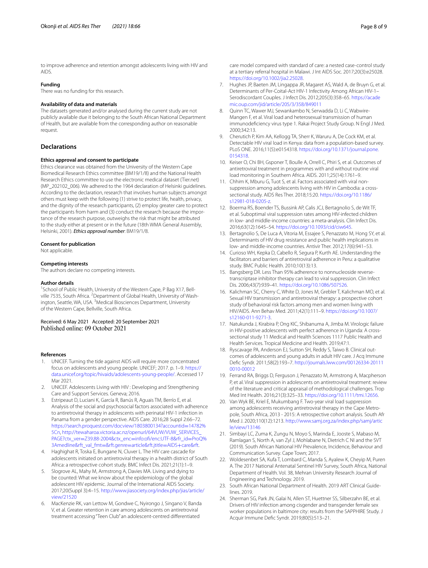to improve adherence and retention amongst adolescents living with HIV and AIDS.

# **Funding**

There was no funding for this research.

#### **Availability of data and materials**

The datasets generated and/or analysed during the current study are not publicly available due it belonging to the South African National Department of Health, but are available from the corresponding author on reasonable request.

# **Declarations**

#### **Ethics approval and consent to participate**

Ethics clearance was obtained from the University of the Western Cape Biomedical Research Ethics committee (BM19/1/8) and the National Health Research Ethics committee to use the electronic medical dataset (Tier.net) (MP\_202102\_006). We adhered to the 1964 declaration of Helsinki guidelines. According to the declaration, research that involves human subjects amongst others must keep with the following (1) strive to protect life, health, privacy, and the dignity of the research participants, (2) employ greater care to protect the participants from harm and (3) conduct the research because the importance of the research purpose, outweighs the risk that might be attributed to the study either at present or in the future (18th WMA General Assembly, Helsinki, 2001). *Ethics approval number*: BM19/1/8.

#### **Consent for publication**

Not applicable.

#### **Competing interests**

The authors declare no competing interests.

#### **Author details**

<sup>1</sup> School of Public Health, University of the Western Cape, P Bag X17, Bellville 7535, South Africa. <sup>2</sup> Department of Global Health, University of Washington, Seattle, WA, USA. <sup>3</sup>Medical Biosciences Department, University of the Western Cape, Bellville, South Africa.

Received: 6 May 2021 Accepted: 20 September 2021<br>Published online: 09 October 2021

#### **References**

- <span id="page-7-0"></span>1. UNICEF. Turning the tide against AIDS will require more concentrated focus on adolescents and young people. UNICEF; 2017. p. 1–9. [https://](https://data.unicef.org/topic/hivaids/adolescents-young-people/) [data.unicef.org/topic/hivaids/adolescents-young-people/](https://data.unicef.org/topic/hivaids/adolescents-young-people/). Accessed 17 Mar 2021.
- <span id="page-7-1"></span>2. UNICEF. Adolescents Living with HIV : Developing and Strengthening Care and Support Services. Geneva; 2016.
- <span id="page-7-2"></span>3. Estripeaut D, Luciani K, García R, Banús R, Aguais TM, Berrío E, et al. Analysis of the social and psychosocial factors associated with adherence to antiretroviral therapy in adolescents with perinatal HIV-1 infection in Panama from a gender perspective. AIDS Care. 2016;28 Suppl 2:66–72. [https://search.proquest.com/docview/1803800134?accountid](https://search.proquest.com/docview/1803800134?accountid=14782%5Cn)=14782% [5Cn,](https://search.proquest.com/docview/1803800134?accountid=14782%5Cn) [http://tewaharoa.victoria.ac.nz/openurl/64VUW/VUW\\_SERVICES\\_](http://tewaharoa.victoria.ac.nz/openurl/64VUW/VUW_SERVICES_PAGE?ctx_ver=Z39.88-2004&ctx_enc=info:ofi/enc:UTF-8&rfr_id=ProQ%3Amedline&rft_val_fmt=&rft.genre=article&rft.jtitle=AIDS+care&rft) PAGE?ctx\_ver=Z39.88-2004&ctx\_enc=[info:of/enc:UTF-8&rfr\\_id](http://tewaharoa.victoria.ac.nz/openurl/64VUW/VUW_SERVICES_PAGE?ctx_ver=Z39.88-2004&ctx_enc=info:ofi/enc:UTF-8&rfr_id=ProQ%3Amedline&rft_val_fmt=&rft.genre=article&rft.jtitle=AIDS+care&rft)=ProQ% 3Amedline&rft\_val\_fmt=&rft.genre=article&rft.jtitle=AIDS+care&rft.
- <span id="page-7-3"></span>4. [Haghighat R, Toska E, Bungane N, Cluver L. The HIV care cascade for](http://tewaharoa.victoria.ac.nz/openurl/64VUW/VUW_SERVICES_PAGE?ctx_ver=Z39.88-2004&ctx_enc=info:ofi/enc:UTF-8&rfr_id=ProQ%3Amedline&rft_val_fmt=&rft.genre=article&rft.jtitle=AIDS+care&rft)  adolescents initiated on antiretroviral therapy in a health district of South Africa: a retrospective cohort study. BMC Infect Dis. 2021;21(1):1–9.
- <span id="page-7-4"></span>5. Slogrove AL, Mahy M, Armstrong A, Davies MA. Living and dying to be counted: What we know about the epidemiology of the global adolescent HIV epidemic. Journal of the International AIDS Society. 2017;20(Suppl 3):4–15. [http://www.jiasociety.org/index.php/jias/article/](http://www.jiasociety.org/index.php/jias/article/view/21520) [view/21520](http://www.jiasociety.org/index.php/jias/article/view/21520)
- <span id="page-7-5"></span>6. MacKenzie RK, van Lettow M, Gondwe C, Nyirongo J, Singano V, Banda V, et al. Greater retention in care among adolescents on antiretroviral treatment accessing "Teen Club" an adolescent-centred diferentiated

care model compared with standard of care: a nested case-control study at a tertiary referral hospital in Malawi. J Int AIDS Soc. 2017;20(3):e25028. <https://doi.org/10.1002/jia2.25028>.

- <span id="page-7-6"></span>7. Hughes JP, Baeten JM, Lingappa JR, Magaret AS, Wald A, de Bruyn G, et al. Determinants of Per-Coital-Act HIV-1 Infectivity Among African HIV-1– Serodiscordant Couples. J Infect Dis. 2012;205(3):358–65. [https://acade](https://academic.oup.com/jid/article/205/3/358/849011) [mic.oup.com/jid/article/205/3/358/849011](https://academic.oup.com/jid/article/205/3/358/849011)
- <span id="page-7-9"></span>8. Quinn TC, Wawer MJ, Sewankambo N, Serwadda D, Li C, Wabwire-Mangen F, et al. Viral load and heterosexual transmission of human immunodefciency virus type 1. Rakai Project Study Group. N Engl J Med. 2000;342:13.
- <span id="page-7-20"></span>9. Cherutich P, Kim AA, Kellogg TA, Sherr K, Waruru A, De Cock KM, et al. Detectable HIV viral load in Kenya: data from a population-based survey. PLoS ONE. 2016;11(5):e0154318. [https://doi.org/10.1371/journal.pone.](https://doi.org/10.1371/journal.pone.0154318) [0154318](https://doi.org/10.1371/journal.pone.0154318).
- <span id="page-7-7"></span>10. Keiser O, Chi BH, Gsponer T, Boulle A, Orrell C, Phiri S, et al. Outcomes of antiretroviral treatment in programmes with and without routine viral load monitoring in Southern Africa. AIDS. 2011;25(14):1761–9.
- <span id="page-7-8"></span>11. Chhim K, Mburu G, Tuot S, et al. Factors associated with viral nonsuppression among adolescents living with HIV in Cambodia: a crosssectional study. AIDS Res Ther. 2018;15:20. [https://doi.org/10.1186/](https://doi.org/10.1186/s12981-018-0205-z) [s12981-018-0205-z](https://doi.org/10.1186/s12981-018-0205-z).
- <span id="page-7-10"></span>12. Boerma RS, Boender TS, Bussink AP, Calis JCJ, Bertagnolio S, de Wit TF, et al. Suboptimal viral suppression rates among HIV-infected children in low- and middle-income countries: a meta-analysis. Clin Infect Dis. 2016;63(12):1645–54.<https://doi.org/10.1093/cid/ciw645>.
- 13. Bertagnolio S, De Luca A, Vitoria M, Essajee S, Penazzato M, Hong SY, et al. Determinants of HIV drug resistance and public health implications in low- and middle-income countries. Antivir Ther. 2012;17(6):941–53.
- 14. Curioso WH, Kepka D, Cabello R, Segura P, Kurth AE. Understanding the facilitators and barriers of antiretroviral adherence in Peru: a qualitative study. BMC Public Health. 2010;10(13):13.
- 15. Bangsberg DR. Less Than 95% adherence to nonnucleoside reversetranscriptase inhibitor therapy can lead to viral suppression. Clin Infect Dis. 2006;43(7):939–41. [https://doi.org/10.1086/507526.](https://doi.org/10.1086/507526)
- <span id="page-7-11"></span>16. Kalichman SC, Cherry C, White D, Jones M, Grebler T, Kalichman MO, et al. Sexual HIV transmission and antiretroviral therapy: a prospective cohort study of behavioral risk factors among men and women living with HIV/AIDS. Ann Behav Med. 2011;42(1):111–9. [https://doi.org/10.1007/](https://doi.org/10.1007/s12160-011-9271-3) [s12160-011-9271-3.](https://doi.org/10.1007/s12160-011-9271-3)
- <span id="page-7-12"></span>17. Natukunda J, Kirabira P, Ong KIC, Shibanuma A, Jimba M. Virologic failure in HIV-positive adolescents with perfect adherence in Uganda: A crosssectional study 11 Medical and Health Sciences 1117 Public Health and Health Services. Tropical Medicine and Health. 2019;47:1.
- <span id="page-7-13"></span>18. Ryscavage PA, Anderson EJ, Sutton SH, Reddy S, Taiwo B. Clinical outcomes of adolescents and young adults in adult HIV care. J Acq Immune Defc Syndr. 2011;58(2):193–7. [http://journals.lww.com/00126334-20111](http://journals.lww.com/00126334-201110010-00012) [0010-00012](http://journals.lww.com/00126334-201110010-00012)
- <span id="page-7-14"></span>19. Ferrand RA, Briggs D, Ferguson J, Penazzato M, Armstrong A, Macpherson P, et al. Viral suppression in adolescents on antiretroviral treatment: review of the literature and critical appraisal of methodological challenges. Trop Med Int Health. 2016;21(3):325–33. [https://doi.org/10.1111/tmi.12656.](https://doi.org/10.1111/tmi.12656)
- <span id="page-7-15"></span>20. Van Wyk BE, Kriel E, Mukumbang F. Two-year viral load suppression among adolescents receiving antiretroviral therapy in the Cape Metropole, South Africa, 2013 - 2015: A retrospective cohort analysis. South Afr Med J. 2020;110(12):1213. [http://www.samj.org.za/index.php/samj/artic](http://www.samj.org.za/index.php/samj/article/view/13146) [le/view/13146](http://www.samj.org.za/index.php/samj/article/view/13146)
- <span id="page-7-16"></span>21. Simbayi LC, Zuma K, Zungu N, Moyo S, Marinda E, Jooste S, Mabaso M, Ramlagan S, North A, van Zyl J, Mohlabane N, Dietrich C NI and the SVT (2019). South African National HIV Prevalence, Incidence, Behaviour and Communication Survey. Cape Town; 2017.
- <span id="page-7-17"></span>22. Woldesenbet SA, Kufa T, Lombard C, Manda S, Ayalew K, Cheyip M, Puren A. The 2017 National Antenatal Sentinel HIV Survey, South Africa, National Department of Health. Vol. 38, Mehran University Research Journal of Engineering and Technology. 2019.
- <span id="page-7-18"></span>23. South African National Department of Health. 2019 ART Clinical Guidelines. 2019.
- <span id="page-7-19"></span>24. Sherman SG, Park JN, Galai N, Allen ST, Huettner SS, Silberzahn BE, et al. Drivers of HIV infection among cisgender and transgender female sex worker populations in baltimore city: results from the SAPPHIRE Study. J Acquir Immune Defc Syndr. 2019;80(5):513–21.